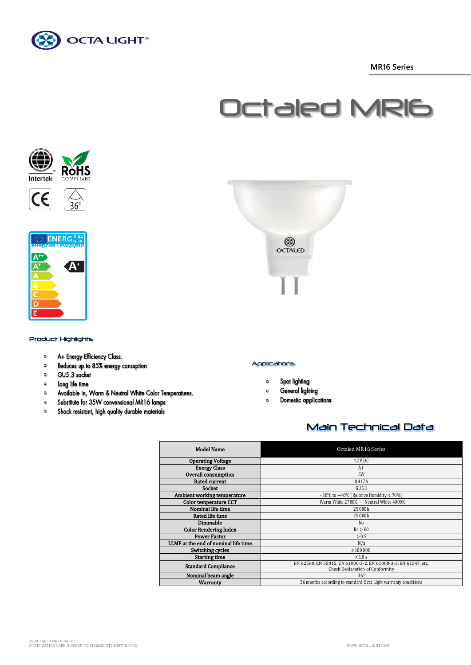

 **MR16 Series**

# Octaled MR16







# Product Highlights

- A+ Energy Efficiency Class.  $\circ$
- Reduces up to 85% energy consuption  $\bullet$
- GU5.3 socket  $\mathbf{o}$
- $\bullet$ Long life time
- $\bullet$ Available in, Warm & Neutral White Color Temperatures.
- Substitute for 35W convensional MR16 lamps  $\bullet$
- Shock resistant, high quality durable materials  $\circ$



## Applications

- Spot lighting  $\mathbf{o}$
- General lighting  $\circ$
- **Domestic applications**  $\Omega$

# Main Technical Data

| <b>Model Name</b>                    | Octaled MR16 Series                                                                               |
|--------------------------------------|---------------------------------------------------------------------------------------------------|
| <b>Operating Voltage</b>             | 12 V DC                                                                                           |
| <b>Energy Class</b>                  | $A+$                                                                                              |
| Overall consumption                  | 5W                                                                                                |
| <b>Rated current</b>                 | 0.417A                                                                                            |
| Socket                               | GU5.3                                                                                             |
| Ambient working temperature          | - 30°C to +40°C (Relative Humidity < 70%)                                                         |
| Color temperature CCT                | Warm White 2700K - Neutral White 4000K                                                            |
| Nominal life time                    | 25 000h                                                                                           |
| Rated life time                      | 25 000h                                                                                           |
| Dimmable                             | No                                                                                                |
| <b>Color Rendering Index</b>         | Ra > 80                                                                                           |
| <b>Power Factor</b>                  | > 0.5                                                                                             |
| LLMF at the end of nominal life time | N/a                                                                                               |
| Switching cycles                     | >100000                                                                                           |
| <b>Starting time</b>                 | < 1.0 s                                                                                           |
| <b>Standard Compliance</b>           | EN 62560, EN 55015, EN 61000-3-2, EN 61000-3-3, EN 61547, etc.<br>Check Declaration of Conformity |
| Nominal beam angle                   | $36^{\circ}$                                                                                      |
| Warranty                             | 36 months according to standard Octa Light warranty conditions                                    |
|                                      |                                                                                                   |